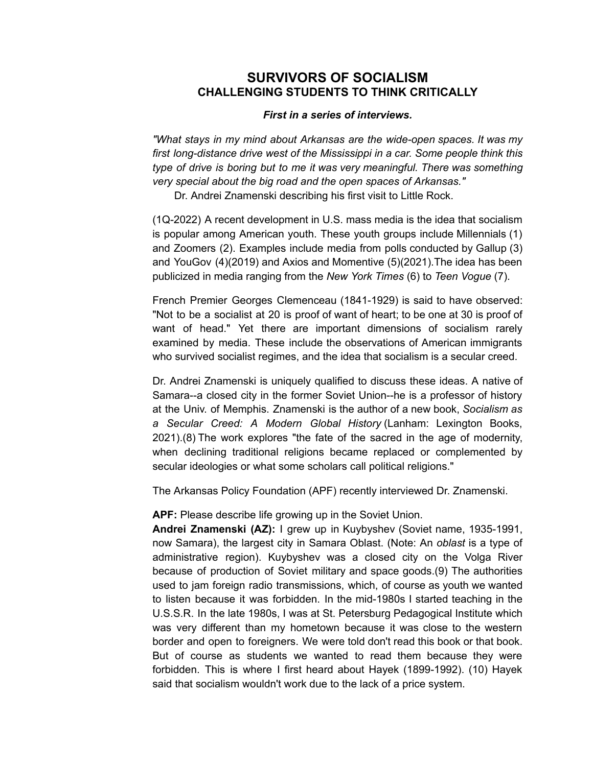## **SURVIVORS OF SOCIALISM CHALLENGING STUDENTS TO THINK CRITICALLY**

## *First in a series of interviews.*

*"What stays in my mind about Arkansas are the wide-open spaces. It was my first long-distance drive west of the Mississippi in a car. Some people think this type of drive is boring but to me it was very meaningful. There was something very special about the big road and the open spaces of Arkansas."*

Dr. Andrei Znamenski describing his first visit to Little Rock.

(1Q-2022) A recent development in U.S. mass media is the idea that socialism is popular among American youth. These youth groups include Millennials (1) and Zoomers (2). Examples include media from polls conducted by Gallup (3) and YouGov (4)(2019) and Axios and Momentive (5)(2021).The idea has been publicized in media ranging from the *New York Times* (6) to *Teen Vogue* (7).

French Premier Georges Clemenceau (1841-1929) is said to have observed: "Not to be a socialist at 20 is proof of want of heart; to be one at 30 is proof of want of head." Yet there are important dimensions of socialism rarely examined by media. These include the observations of American immigrants who survived socialist regimes, and the idea that socialism is a secular creed.

Dr. Andrei Znamenski is uniquely qualified to discuss these ideas. A native of Samara--a closed city in the former Soviet Union--he is a professor of history at the Univ. of Memphis. Znamenski is the author of a new book, *Socialism as a Secular Creed: A Modern Global History* (Lanham: Lexington Books, 2021).(8) The work explores "the fate of the sacred in the age of modernity, when declining traditional religions became replaced or complemented by secular ideologies or what some scholars call political religions."

The Arkansas Policy Foundation (APF) recently interviewed Dr. Znamenski.

**APF:** Please describe life growing up in the Soviet Union.

**Andrei Znamenski (AZ):** I grew up in Kuybyshev (Soviet name, 1935-1991, now Samara), the largest city in Samara Oblast. (Note: An *oblast* is a type of administrative region). Kuybyshev was a closed city on the Volga River because of production of Soviet military and space goods.(9) The authorities used to jam foreign radio transmissions, which, of course as youth we wanted to listen because it was forbidden. In the mid-1980s I started teaching in the U.S.S.R. In the late 1980s, I was at St. Petersburg Pedagogical Institute which was very different than my hometown because it was close to the western border and open to foreigners. We were told don't read this book or that book. But of course as students we wanted to read them because they were forbidden. This is where I first heard about Hayek (1899-1992). (10) Hayek said that socialism wouldn't work due to the lack of a price system.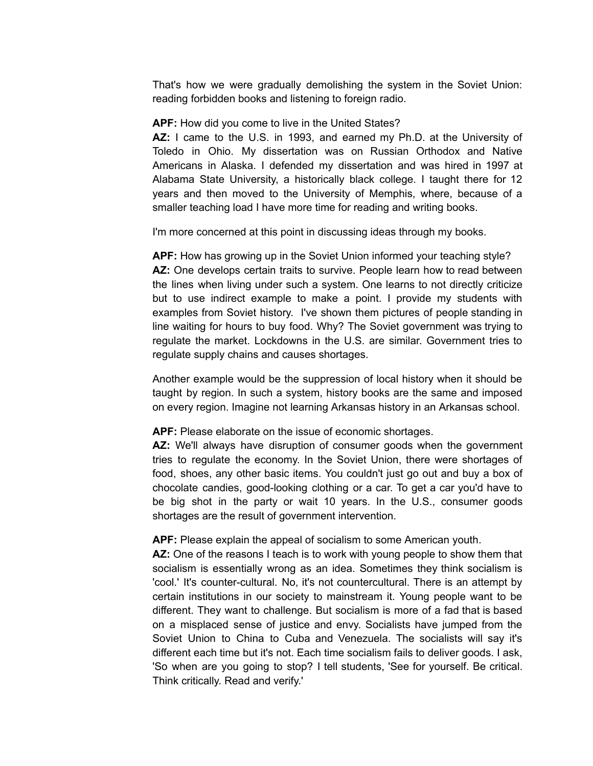That's how we were gradually demolishing the system in the Soviet Union: reading forbidden books and listening to foreign radio.

**APF:** How did you come to live in the United States?

**AZ:** I came to the U.S. in 1993, and earned my Ph.D. at the University of Toledo in Ohio. My dissertation was on Russian Orthodox and Native Americans in Alaska. I defended my dissertation and was hired in 1997 at Alabama State University, a historically black college. I taught there for 12 years and then moved to the University of Memphis, where, because of a smaller teaching load I have more time for reading and writing books.

I'm more concerned at this point in discussing ideas through my books.

**APF:** How has growing up in the Soviet Union informed your teaching style? **AZ:** One develops certain traits to survive. People learn how to read between the lines when living under such a system. One learns to not directly criticize but to use indirect example to make a point. I provide my students with examples from Soviet history. I've shown them pictures of people standing in line waiting for hours to buy food. Why? The Soviet government was trying to regulate the market. Lockdowns in the U.S. are similar. Government tries to regulate supply chains and causes shortages.

Another example would be the suppression of local history when it should be taught by region. In such a system, history books are the same and imposed on every region. Imagine not learning Arkansas history in an Arkansas school.

**APF:** Please elaborate on the issue of economic shortages.

**AZ:** We'll always have disruption of consumer goods when the government tries to regulate the economy. In the Soviet Union, there were shortages of food, shoes, any other basic items. You couldn't just go out and buy a box of chocolate candies, good-looking clothing or a car. To get a car you'd have to be big shot in the party or wait 10 years. In the U.S., consumer goods shortages are the result of government intervention.

## **APF:** Please explain the appeal of socialism to some American youth.

**AZ:** One of the reasons I teach is to work with young people to show them that socialism is essentially wrong as an idea. Sometimes they think socialism is 'cool.' It's counter-cultural. No, it's not countercultural. There is an attempt by certain institutions in our society to mainstream it. Young people want to be different. They want to challenge. But socialism is more of a fad that is based on a misplaced sense of justice and envy. Socialists have jumped from the Soviet Union to China to Cuba and Venezuela. The socialists will say it's different each time but it's not. Each time socialism fails to deliver goods. I ask, 'So when are you going to stop? I tell students, 'See for yourself. Be critical. Think critically. Read and verify.'